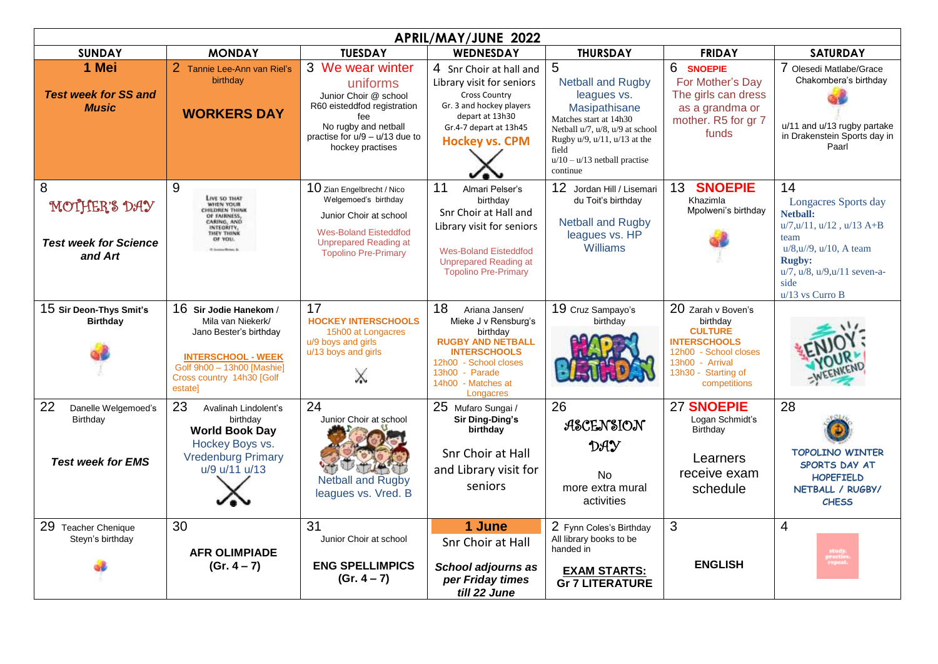| APRIL/MAY/JUNE 2022                                                      |                                                                                                                                                                          |                                                                                                                                                                             |                                                                                                                                                                                           |                                                                                                                                                                                                                           |                                                                                                                                                            |                                                                                                                                                                                                                  |  |  |  |  |
|--------------------------------------------------------------------------|--------------------------------------------------------------------------------------------------------------------------------------------------------------------------|-----------------------------------------------------------------------------------------------------------------------------------------------------------------------------|-------------------------------------------------------------------------------------------------------------------------------------------------------------------------------------------|---------------------------------------------------------------------------------------------------------------------------------------------------------------------------------------------------------------------------|------------------------------------------------------------------------------------------------------------------------------------------------------------|------------------------------------------------------------------------------------------------------------------------------------------------------------------------------------------------------------------|--|--|--|--|
| <b>SUNDAY</b>                                                            | <b>MONDAY</b>                                                                                                                                                            | <b>TUESDAY</b>                                                                                                                                                              | <b>WEDNESDAY</b>                                                                                                                                                                          | <b>THURSDAY</b>                                                                                                                                                                                                           | <b>FRIDAY</b>                                                                                                                                              | <b>SATURDAY</b>                                                                                                                                                                                                  |  |  |  |  |
| 1 Mei<br><b>Test week for SS and</b><br><b>Music</b>                     | 2 Tannie Lee-Ann van Riel's<br>birthdav<br><b>WORKERS DAY</b>                                                                                                            | 3 We wear winter<br>uniforms<br>Junior Choir @ school<br>R60 eisteddfod registration<br>fee<br>No rugby and netball<br>practise for $u/9 - u/13$ due to<br>hockey practises | 4 Snr Choir at hall and<br>Library visit for seniors<br><b>Cross Country</b><br>Gr. 3 and hockey players<br>depart at 13h30<br>Gr.4-7 depart at 13h45<br><b>Hockey vs. CPM</b>            | 5<br><b>Netball and Rugby</b><br>leagues vs.<br>Masipathisane<br>Matches start at 14h30<br>Netball u/7, u/8, u/9 at school<br>Rugby $u/9$ , $u/11$ , $u/13$ at the<br>field<br>$u/10 - u/13$ netball practise<br>continue | 6 SNOEPIE<br>For Mother's Day<br>The girls can dress<br>as a grandma or<br>mother. R5 for gr 7<br>funds                                                    | 7 Olesedi Matlabe/Grace<br>Chakombera's birthdav<br>u/11 and u/13 rugby partake<br>in Drakenstein Sports day in<br>Paarl                                                                                         |  |  |  |  |
| 8<br>MOTHER'S DAY<br><b>Test week for Science</b><br>and Art             | 9<br>LIVE SO THAT<br><b><i>RUOY WINN</i></b><br><b>CHILDREN THINK</b><br>OF FAIRNESS,<br>CARING, AND<br>INTEGRITY,<br><b>THEY THINK</b><br>OF YOU.                       | 10 Zian Engelbrecht / Nico<br>Welgemoed's birthday<br>Junior Choir at school<br><b>Wes-Boland Eisteddfod</b><br><b>Unprepared Reading at</b><br><b>Topolino Pre-Primary</b> | 11<br>Almari Pelser's<br>birthday<br>Snr Choir at Hall and<br>Library visit for seniors<br><b>Wes-Boland Eisteddfod</b><br><b>Unprepared Reading at</b><br><b>Topolino Pre-Primary</b>    | 12 Jordan Hill / Lisemari<br>du Toit's birthday<br><b>Netball and Rugby</b><br>leagues vs. HP<br>Williams                                                                                                                 | <b>SNOEPIE</b><br>13 <sup>°</sup><br>Khazimla<br>Mpolweni's birthday                                                                                       | 14<br>Longacres Sports day<br><b>Netball:</b><br>$u/7, u/11, u/12, u/13$ A+B<br>team<br>$u/8$ , $u/9$ , $u/10$ , A team<br><b>Rugby:</b><br>$u/7$ , $u/8$ , $u/9$ , $u/11$ seven-a-<br>side<br>$u/13$ vs Curro B |  |  |  |  |
| 15 Sir Deon-Thys Smit's<br><b>Birthdav</b>                               | 16 Sir Jodie Hanekom /<br>Mila van Niekerk/<br>Jano Bester's birthday<br><b>INTERSCHOOL - WEEK</b><br>Golf 9h00 - 13h00 [Mashie]<br>Cross country 14h30 [Golf<br>estate] | 17<br><b>HOCKEY INTERSCHOOLS</b><br>15h00 at Longacres<br>u/9 boys and girls<br>u/13 boys and girls<br>X                                                                    | 18<br>Ariana Jansen/<br>Mieke J v Rensburg's<br>birthday<br><b>RUGBY AND NETBALL</b><br><b>INTERSCHOOLS</b><br>12h00 - School closes<br>13h00 - Parade<br>14h00 - Matches at<br>Longacres | 19 Cruz Sampayo's<br>birthday                                                                                                                                                                                             | 20 Zarah v Boven's<br>birthdav<br><b>CULTURE</b><br><b>INTERSCHOOLS</b><br>12h00 - School closes<br>13h00 - Arrival<br>13h30 - Starting of<br>competitions |                                                                                                                                                                                                                  |  |  |  |  |
| 22<br>Danelle Welgemoed's<br><b>Birthday</b><br><b>Test week for EMS</b> | 23<br>Avalinah Lindolent's<br>birthday<br><b>World Book Day</b><br>Hockey Boys vs.<br><b>Vredenburg Primary</b><br>u/9 u/11 u/13                                         | 24<br>Junior Choir at school<br><b>Netball and Rugby</b><br>leagues vs. Vred. B                                                                                             | 25 Mufaro Sungai /<br>Sir Ding-Ding's<br>birthday<br>Snr Choir at Hall<br>and Library visit for<br>seniors                                                                                | 26<br>ASCENSION<br>DAY<br><b>No</b><br>more extra mural<br>activities                                                                                                                                                     | 27 SNOEPIE<br>Logan Schmidt's<br>Birthday<br>Learners<br>receive exam<br>schedule                                                                          | 28<br><b>TOPOLINO WINTER</b><br>SPORTS DAY AT<br><b>HOPEFIELD</b><br>NETBALL / RUGBY/<br><b>CHESS</b>                                                                                                            |  |  |  |  |
| 29 Teacher Chenique<br>Steyn's birthday                                  | 30<br><b>AFR OLIMPIADE</b><br>$(Gr. 4 - 7)$                                                                                                                              | 31<br>Junior Choir at school<br><b>ENG SPELLIMPICS</b><br>$(Gr. 4 - 7)$                                                                                                     | 1 June<br>Snr Choir at Hall<br>School adjourns as<br>per Friday times<br>till 22 June                                                                                                     | 2 Fynn Coles's Birthday<br>All library books to be<br>handed in<br><b>EXAM STARTS:</b><br><b>Gr 7 LITERATURE</b>                                                                                                          | 3<br><b>ENGLISH</b>                                                                                                                                        | $\overline{4}$<br>study.<br>practice<br>repeat.                                                                                                                                                                  |  |  |  |  |